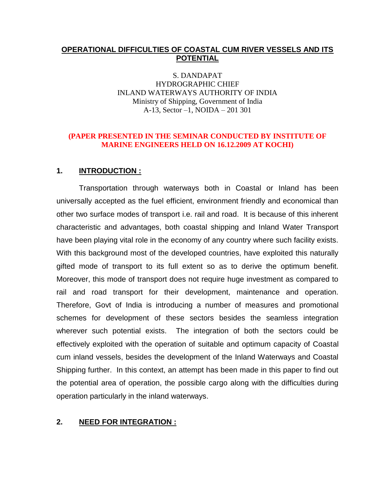### **OPERATIONAL DIFFICULTIES OF COASTAL CUM RIVER VESSELS AND ITS POTENTIAL**

S. DANDAPAT HYDROGRAPHIC CHIEF INLAND WATERWAYS AUTHORITY OF INDIA Ministry of Shipping, Government of India A-13, Sector –1, NOIDA – 201 301

### **(PAPER PRESENTED IN THE SEMINAR CONDUCTED BY INSTITUTE OF MARINE ENGINEERS HELD ON 16.12.2009 AT KOCHI)**

## **1. INTRODUCTION :**

Transportation through waterways both in Coastal or Inland has been universally accepted as the fuel efficient, environment friendly and economical than other two surface modes of transport i.e. rail and road. It is because of this inherent characteristic and advantages, both coastal shipping and Inland Water Transport have been playing vital role in the economy of any country where such facility exists. With this background most of the developed countries, have exploited this naturally gifted mode of transport to its full extent so as to derive the optimum benefit. Moreover, this mode of transport does not require huge investment as compared to rail and road transport for their development, maintenance and operation. Therefore, Govt of India is introducing a number of measures and promotional schemes for development of these sectors besides the seamless integration wherever such potential exists. The integration of both the sectors could be effectively exploited with the operation of suitable and optimum capacity of Coastal cum inland vessels, besides the development of the Inland Waterways and Coastal Shipping further. In this context, an attempt has been made in this paper to find out the potential area of operation, the possible cargo along with the difficulties during operation particularly in the inland waterways.

### **2. NEED FOR INTEGRATION :**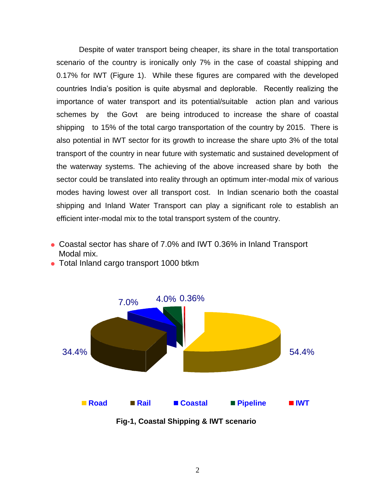Despite of water transport being cheaper, its share in the total transportation scenario of the country is ironically only 7% in the case of coastal shipping and 0.17% for IWT (Figure 1). While these figures are compared with the developed countries India's position is quite abysmal and deplorable. Recently realizing the importance of water transport and its potential/suitable action plan and various schemes by the Govt are being introduced to increase the share of coastal shipping to 15% of the total cargo transportation of the country by 2015. There is also potential in IWT sector for its growth to increase the share upto 3% of the total transport of the country in near future with systematic and sustained development of the waterway systems. The achieving of the above increased share by both the sector could be translated into reality through an optimum inter-modal mix of various modes having lowest over all transport cost. In Indian scenario both the coastal shipping and Inland Water Transport can play a significant role to establish an efficient inter-modal mix to the total transport system of the country.

Coastal sector has share of 7.0% and IWT 0.36% in Inland Transport Modal mix.



• Total Inland cargo transport 1000 btkm

**Fig-1, Coastal Shipping & IWT scenario**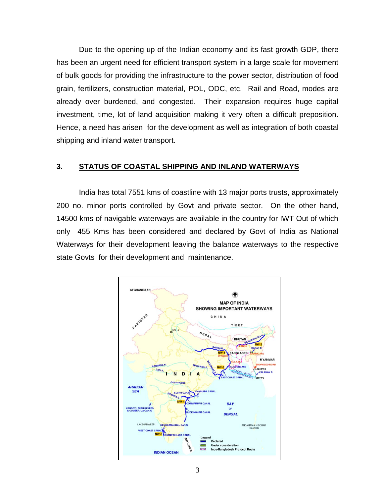Due to the opening up of the Indian economy and its fast growth GDP, there has been an urgent need for efficient transport system in a large scale for movement of bulk goods for providing the infrastructure to the power sector, distribution of food grain, fertilizers, construction material, POL, ODC, etc. Rail and Road, modes are already over burdened, and congested. Their expansion requires huge capital investment, time, lot of land acquisition making it very often a difficult preposition. Hence, a need has arisen for the development as well as integration of both coastal shipping and inland water transport.

## **3. STATUS OF COASTAL SHIPPING AND INLAND WATERWAYS**

India has total 7551 kms of coastline with 13 major ports trusts, approximately 200 no. minor ports controlled by Govt and private sector. On the other hand, 14500 kms of navigable waterways are available in the country for IWT Out of which only 455 Kms has been considered and declared by Govt of India as National Waterways for their development leaving the balance waterways to the respective state Govts for their development and maintenance.

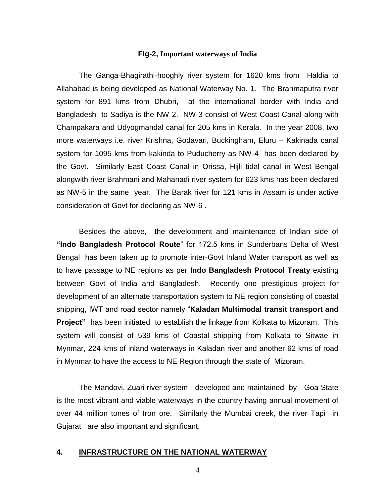#### **Fig-2, Important waterways of India**

The Ganga-Bhagirathi-hooghly river system for 1620 kms from Haldia to Allahabad is being developed as National Waterway No. 1. The Brahmaputra river system for 891 kms from Dhubri, at the international border with India and Bangladesh to Sadiya is the NW-2. NW-3 consist of West Coast Canal along with Champakara and Udyogmandal canal for 205 kms in Kerala. In the year 2008, two more waterways i.e. river Krishna, Godavari, Buckingham, Eluru – Kakinada canal system for 1095 kms from kakinda to Puducherry as NW-4 has been declared by the Govt. Similarly East Coast Canal in Orissa, Hijli tidal canal in West Bengal alongwith river Brahmani and Mahanadi river system for 623 kms has been declared as NW-5 in the same year. The Barak river for 121 kms in Assam is under active consideration of Govt for declaring as NW-6 .

Besides the above, the development and maintenance of Indian side of **"Indo Bangladesh Protocol Route**" for 172.5 kms in Sunderbans Delta of West Bengal has been taken up to promote inter-Govt Inland Water transport as well as to have passage to NE regions as per **Indo Bangladesh Protocol Treaty** existing between Govt of India and Bangladesh. Recently one prestigious project for development of an alternate transportation system to NE region consisting of coastal shipping, IWT and road sector namely "**Kaladan Multimodal transit transport and Project"** has been initiated to establish the linkage from Kolkata to Mizoram. This system will consist of 539 kms of Coastal shipping from Kolkata to Sitwae in Mynmar, 224 kms of inland waterways in Kaladan river and another 62 kms of road in Mynmar to have the access to NE Region through the state of Mizoram.

The Mandovi, Zuari river system developed and maintained by Goa State is the most vibrant and viable waterways in the country having annual movement of over 44 million tones of Iron ore. Similarly the Mumbai creek, the river Tapi in Gujarat are also important and significant.

### **4. INFRASTRUCTURE ON THE NATIONAL WATERWAY**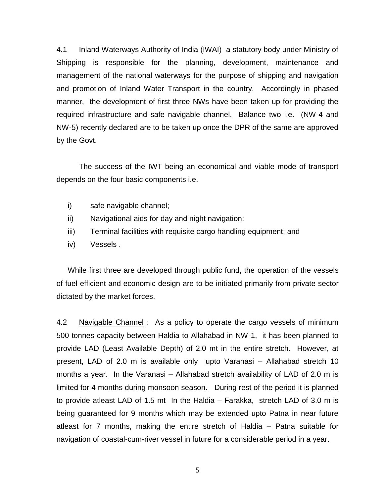4.1 Inland Waterways Authority of India (IWAI) a statutory body under Ministry of Shipping is responsible for the planning, development, maintenance and management of the national waterways for the purpose of shipping and navigation and promotion of Inland Water Transport in the country. Accordingly in phased manner, the development of first three NWs have been taken up for providing the required infrastructure and safe navigable channel. Balance two i.e. (NW-4 and NW-5) recently declared are to be taken up once the DPR of the same are approved by the Govt.

The success of the IWT being an economical and viable mode of transport depends on the four basic components i.e.

- i) safe navigable channel;
- ii) Navigational aids for day and night navigation;
- iii) Terminal facilities with requisite cargo handling equipment; and
- iv) Vessels .

While first three are developed through public fund, the operation of the vessels of fuel efficient and economic design are to be initiated primarily from private sector dictated by the market forces.

4.2 Navigable Channel : As a policy to operate the cargo vessels of minimum 500 tonnes capacity between Haldia to Allahabad in NW-1, it has been planned to provide LAD (Least Available Depth) of 2.0 mt in the entire stretch. However, at present, LAD of 2.0 m is available only upto Varanasi – Allahabad stretch 10 months a year. In the Varanasi – Allahabad stretch availability of LAD of 2.0 m is limited for 4 months during monsoon season. During rest of the period it is planned to provide atleast LAD of 1.5 mt In the Haldia – Farakka, stretch LAD of 3.0 m is being guaranteed for 9 months which may be extended upto Patna in near future atleast for 7 months, making the entire stretch of Haldia – Patna suitable for navigation of coastal-cum-river vessel in future for a considerable period in a year.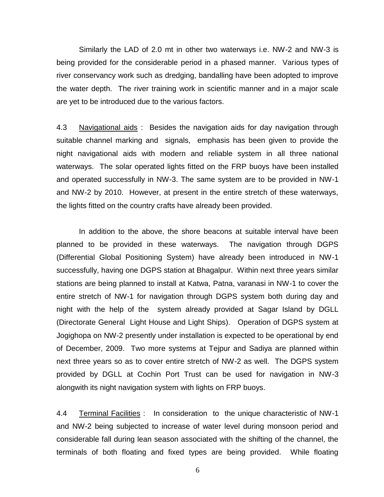Similarly the LAD of 2.0 mt in other two waterways i.e. NW-2 and NW-3 is being provided for the considerable period in a phased manner. Various types of river conservancy work such as dredging, bandalling have been adopted to improve the water depth. The river training work in scientific manner and in a major scale are yet to be introduced due to the various factors.

4.3 Navigational aids : Besides the navigation aids for day navigation through suitable channel marking and signals, emphasis has been given to provide the night navigational aids with modern and reliable system in all three national waterways. The solar operated lights fitted on the FRP buoys have been installed and operated successfully in NW-3. The same system are to be provided in NW-1 and NW-2 by 2010. However, at present in the entire stretch of these waterways, the lights fitted on the country crafts have already been provided.

In addition to the above, the shore beacons at suitable interval have been planned to be provided in these waterways. The navigation through DGPS (Differential Global Positioning System) have already been introduced in NW-1 successfully, having one DGPS station at Bhagalpur. Within next three years similar stations are being planned to install at Katwa, Patna, varanasi in NW-1 to cover the entire stretch of NW-1 for navigation through DGPS system both during day and night with the help of the system already provided at Sagar Island by DGLL (Directorate General Light House and Light Ships). Operation of DGPS system at Jogighopa on NW-2 presently under installation is expected to be operational by end of December, 2009. Two more systems at Tejpur and Sadiya are planned within next three years so as to cover entire stretch of NW-2 as well. The DGPS system provided by DGLL at Cochin Port Trust can be used for navigation in NW-3 alongwith its night navigation system with lights on FRP buoys.

4.4 Terminal Facilities : In consideration to the unique characteristic of NW-1 and NW-2 being subjected to increase of water level during monsoon period and considerable fall during lean season associated with the shifting of the channel, the terminals of both floating and fixed types are being provided. While floating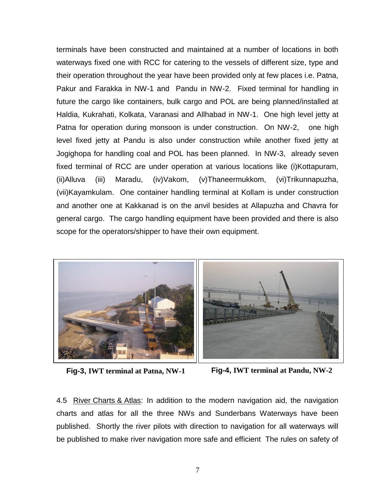terminals have been constructed and maintained at a number of locations in both waterways fixed one with RCC for catering to the vessels of different size, type and their operation throughout the year have been provided only at few places i.e. Patna, Pakur and Farakka in NW-1 and Pandu in NW-2. Fixed terminal for handling in future the cargo like containers, bulk cargo and POL are being planned/installed at Haldia, Kukrahati, Kolkata, Varanasi and Allhabad in NW-1. One high level jetty at Patna for operation during monsoon is under construction. On NW-2, one high level fixed jetty at Pandu is also under construction while another fixed jetty at Jogighopa for handling coal and POL has been planned. In NW-3, already seven fixed terminal of RCC are under operation at various locations like (i)Kottapuram, (ii)Alluva (iii) Maradu, (iv)Vakom, (v)Thaneermukkom, (vi)Trikunnapuzha, (vii)Kayamkulam. One container handling terminal at Kollam is under construction and another one at Kakkanad is on the anvil besides at Allapuzha and Chavra for general cargo. The cargo handling equipment have been provided and there is also scope for the operators/shipper to have their own equipment.



**Fig-3, IWT terminal at Patna, NW-1 Fig-4, IWT terminal at Pandu, NW-2**

4.5 River Charts & Atlas: In addition to the modern navigation aid, the navigation charts and atlas for all the three NWs and Sunderbans Waterways have been published. Shortly the river pilots with direction to navigation for all waterways will be published to make river navigation more safe and efficient The rules on safety of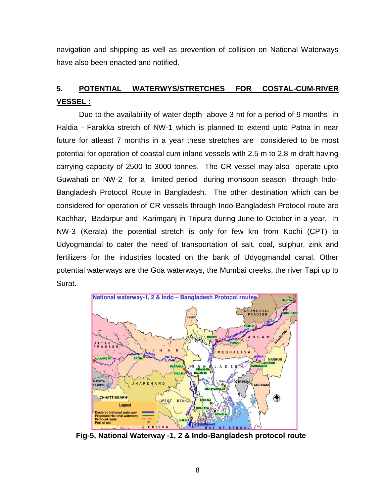navigation and shipping as well as prevention of collision on National Waterways have also been enacted and notified.

# **5. POTENTIAL WATERWYS/STRETCHES FOR COSTAL-CUM-RIVER VESSEL :**

Due to the availability of water depth above 3 mt for a period of 9 months in Haldia - Farakka stretch of NW-1 which is planned to extend upto Patna in near future for atleast 7 months in a year these stretches are considered to be most potential for operation of coastal cum inland vessels with 2.5 m to 2.8 m draft having carrying capacity of 2500 to 3000 tonnes. The CR vessel may also operate upto Guwahati on NW-2 for a limited period during monsoon season through Indo-Bangladesh Protocol Route in Bangladesh. The other destination which can be considered for operation of CR vessels through Indo-Bangladesh Protocol route are Kachhar, Badarpur and Karimganj in Tripura during June to October in a year. In NW-3 (Kerala) the potential stretch is only for few km from Kochi (CPT) to Udyogmandal to cater the need of transportation of salt, coal, sulphur, zink and fertilizers for the industries located on the bank of Udyogmandal canal. Other potential waterways are the Goa waterways, the Mumbai creeks, the river Tapi up to Surat.



**Fig-5, National Waterway -1, 2 & Indo-Bangladesh protocol route**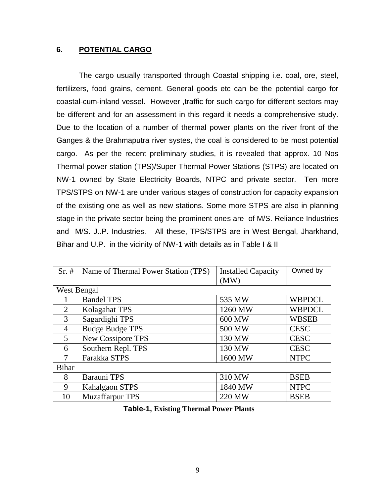### **6. POTENTIAL CARGO**

The cargo usually transported through Coastal shipping i.e. coal, ore, steel, fertilizers, food grains, cement. General goods etc can be the potential cargo for coastal-cum-inland vessel. However ,traffic for such cargo for different sectors may be different and for an assessment in this regard it needs a comprehensive study. Due to the location of a number of thermal power plants on the river front of the Ganges & the Brahmaputra river systes, the coal is considered to be most potential cargo. As per the recent preliminary studies, it is revealed that approx. 10 Nos Thermal power station (TPS)/Super Thermal Power Stations (STPS) are located on NW-1 owned by State Electricity Boards, NTPC and private sector. Ten more TPS/STPS on NW-1 are under various stages of construction for capacity expansion of the existing one as well as new stations. Some more STPS are also in planning stage in the private sector being the prominent ones are of M/S. Reliance Industries and M/S. J..P. Industries. All these, TPS/STPS are in West Bengal, Jharkhand, Bihar and U.P. in the vicinity of NW-1 with details as in Table I & II

| $Sr. \#$       | Name of Thermal Power Station (TPS) | <b>Installed Capacity</b> | Owned by      |
|----------------|-------------------------------------|---------------------------|---------------|
|                |                                     | (MW)                      |               |
| West Bengal    |                                     |                           |               |
|                | <b>Bandel TPS</b>                   | 535 MW                    | <b>WBPDCL</b> |
| 2              | Kolagahat TPS                       | 1260 MW                   | <b>WBPDCL</b> |
| 3              | Sagardighi TPS                      | 600 MW                    | <b>WBSEB</b>  |
| $\overline{4}$ | <b>Budge Budge TPS</b>              | 500 MW                    | <b>CESC</b>   |
| 5              | <b>New Cossipore TPS</b>            | 130 MW                    | <b>CESC</b>   |
| 6              | Southern Repl. TPS                  | 130 MW                    | <b>CESC</b>   |
| 7              | Farakka STPS                        | 1600 MW                   | <b>NTPC</b>   |
| <b>Bihar</b>   |                                     |                           |               |
| 8              | <b>Barauni TPS</b>                  | 310 MW                    | <b>BSEB</b>   |
| 9              | <b>Kahalgaon STPS</b>               | 1840 MW                   | <b>NTPC</b>   |
| 10             | <b>Muzaffarpur TPS</b>              | 220 MW                    | <b>BSEB</b>   |

|  | <b>Table-1, Existing Thermal Power Plants</b> |  |  |  |
|--|-----------------------------------------------|--|--|--|
|--|-----------------------------------------------|--|--|--|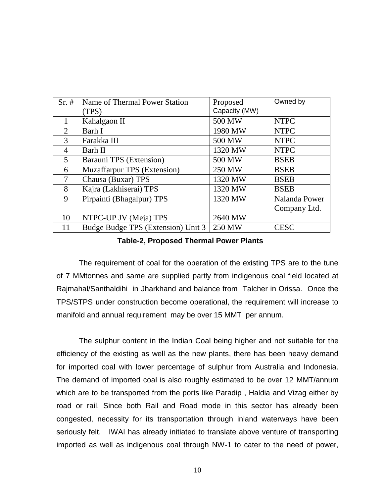| $Sr. \#$ | Name of Thermal Power Station      | Proposed      | Owned by      |
|----------|------------------------------------|---------------|---------------|
|          | (TPS)                              | Capacity (MW) |               |
|          | Kahalgaon II                       | 500 MW        | <b>NTPC</b>   |
| 2        | Barh I                             | 1980 MW       | <b>NTPC</b>   |
| 3        | Farakka III                        | 500 MW        | <b>NTPC</b>   |
| 4        | Barh II                            | 1320 MW       | <b>NTPC</b>   |
| 5        | Barauni TPS (Extension)            | 500 MW        | <b>BSEB</b>   |
| 6        | <b>Muzaffarpur TPS (Extension)</b> | 250 MW        | <b>BSEB</b>   |
| 7        | Chausa (Buxar) TPS                 | 1320 MW       | <b>BSEB</b>   |
| 8        | Kajra (Lakhiserai) TPS             | 1320 MW       | <b>BSEB</b>   |
| 9        | Pirpainti (Bhagalpur) TPS          | 1320 MW       | Nalanda Power |
|          |                                    |               | Company Ltd.  |
| 10       | NTPC-UP JV (Meja) TPS              | 2640 MW       |               |
| 11       | Budge Budge TPS (Extension) Unit 3 | 250 MW        | <b>CESC</b>   |

**Table-2, Proposed Thermal Power Plants**

The requirement of coal for the operation of the existing TPS are to the tune of 7 MMtonnes and same are supplied partly from indigenous coal field located at Rajmahal/Santhaldihi in Jharkhand and balance from Talcher in Orissa. Once the TPS/STPS under construction become operational, the requirement will increase to manifold and annual requirement may be over 15 MMT per annum.

The sulphur content in the Indian Coal being higher and not suitable for the efficiency of the existing as well as the new plants, there has been heavy demand for imported coal with lower percentage of sulphur from Australia and Indonesia. The demand of imported coal is also roughly estimated to be over 12 MMT/annum which are to be transported from the ports like Paradip , Haldia and Vizag either by road or rail. Since both Rail and Road mode in this sector has already been congested, necessity for its transportation through inland waterways have been seriously felt. IWAI has already initiated to translate above venture of transporting imported as well as indigenous coal through NW-1 to cater to the need of power,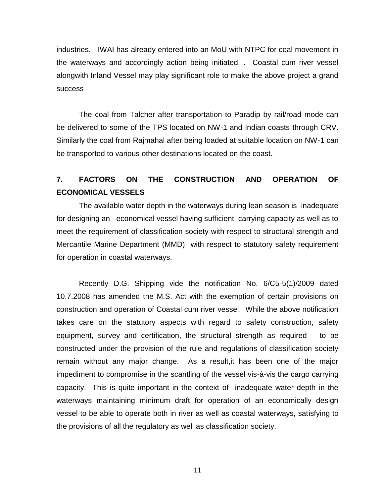industries. IWAI has already entered into an MoU with NTPC for coal movement in the waterways and accordingly action being initiated. . Coastal cum river vessel alongwith Inland Vessel may play significant role to make the above project a grand success

The coal from Talcher after transportation to Paradip by rail/road mode can be delivered to some of the TPS located on NW-1 and Indian coasts through CRV. Similarly the coal from Rajmahal after being loaded at suitable location on NW-1 can be transported to various other destinations located on the coast.

# **7. FACTORS ON THE CONSTRUCTION AND OPERATION OF ECONOMICAL VESSELS**

The available water depth in the waterways during lean season is inadequate for designing an economical vessel having sufficient carrying capacity as well as to meet the requirement of classification society with respect to structural strength and Mercantile Marine Department (MMD) with respect to statutory safety requirement for operation in coastal waterways.

Recently D.G. Shipping vide the notification No. 6/C5-5(1)/2009 dated 10.7.2008 has amended the M.S. Act with the exemption of certain provisions on construction and operation of Coastal cum river vessel. While the above notification takes care on the statutory aspects with regard to safety construction, safety equipment, survey and certification, the structural strength as required to be constructed under the provision of the rule and regulations of classification society remain without any major change. As a result,it has been one of the major impediment to compromise in the scantling of the vessel vis-à-vis the cargo carrying capacity. This is quite important in the context of inadequate water depth in the waterways maintaining minimum draft for operation of an economically design vessel to be able to operate both in river as well as coastal waterways, satisfying to the provisions of all the regulatory as well as classification society.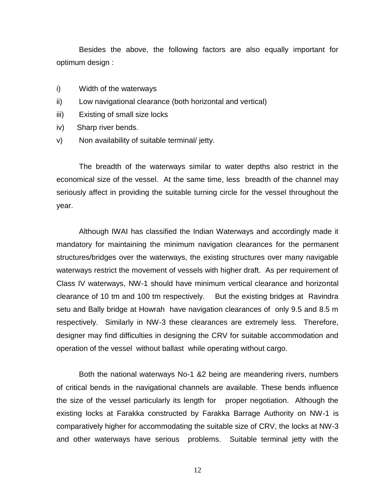Besides the above, the following factors are also equally important for optimum design :

- i) Width of the waterways
- ii) Low navigational clearance (both horizontal and vertical)
- iii) Existing of small size locks
- iv) Sharp river bends.
- v) Non availability of suitable terminal/ jetty.

The breadth of the waterways similar to water depths also restrict in the economical size of the vessel. At the same time, less breadth of the channel may seriously affect in providing the suitable turning circle for the vessel throughout the year.

Although IWAI has classified the Indian Waterways and accordingly made it mandatory for maintaining the minimum navigation clearances for the permanent structures/bridges over the waterways, the existing structures over many navigable waterways restrict the movement of vessels with higher draft. As per requirement of Class IV waterways, NW-1 should have minimum vertical clearance and horizontal clearance of 10 tm and 100 tm respectively. But the existing bridges at Ravindra setu and Bally bridge at Howrah have navigation clearances of only 9.5 and 8.5 m respectively. Similarly in NW-3 these clearances are extremely less. Therefore, designer may find difficulties in designing the CRV for suitable accommodation and operation of the vessel without ballast while operating without cargo.

Both the national waterways No-1 &2 being are meandering rivers, numbers of critical bends in the navigational channels are available. These bends influence the size of the vessel particularly its length for proper negotiation. Although the existing locks at Farakka constructed by Farakka Barrage Authority on NW-1 is comparatively higher for accommodating the suitable size of CRV, the locks at NW-3 and other waterways have serious problems. Suitable terminal jetty with the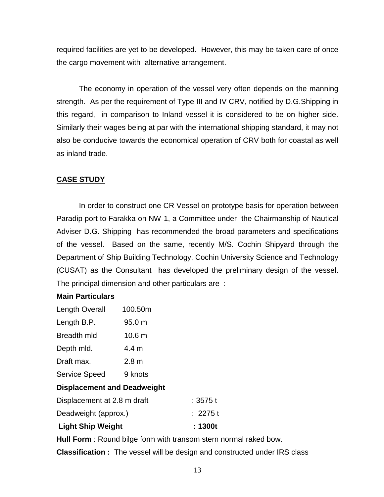required facilities are yet to be developed. However, this may be taken care of once the cargo movement with alternative arrangement.

The economy in operation of the vessel very often depends on the manning strength. As per the requirement of Type III and IV CRV, notified by D.G.Shipping in this regard, in comparison to Inland vessel it is considered to be on higher side. Similarly their wages being at par with the international shipping standard, it may not also be conducive towards the economical operation of CRV both for coastal as well as inland trade.

## **CASE STUDY**

In order to construct one CR Vessel on prototype basis for operation between Paradip port to Farakka on NW-1, a Committee under the Chairmanship of Nautical Adviser D.G. Shipping has recommended the broad parameters and specifications of the vessel. Based on the same, recently M/S. Cochin Shipyard through the Department of Ship Building Technology, Cochin University Science and Technology (CUSAT) as the Consultant has developed the preliminary design of the vessel. The principal dimension and other particulars are :

### **Main Particulars**

| Length Overall | 100.50m          |
|----------------|------------------|
| Length B.P.    | $95.0 \text{ m}$ |
| Breadth mld    | $10.6 \text{ m}$ |
| Depth mld.     | 4.4 m            |
| Draft max.     | 2.8 m            |
|                |                  |

Service Speed 9 knots

## **Displacement and Deadweight**

| <b>Light Ship Weight</b>    | : 1300t       |
|-----------------------------|---------------|
| Deadweight (approx.)        | $\div$ 2275 t |
| Displacement at 2.8 m draft | : 3575 t      |

**Hull Form** : Round bilge form with transom stern normal raked bow.

**Classification :** The vessel will be design and constructed under IRS class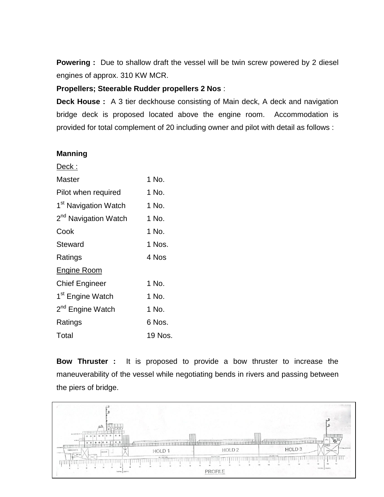**Powering :** Due to shallow draft the vessel will be twin screw powered by 2 diesel engines of approx. 310 KW MCR.

### **Propellers; Steerable Rudder propellers 2 Nos** :

**Deck House :** A 3 tier deckhouse consisting of Main deck, A deck and navigation bridge deck is proposed located above the engine room. Accommodation is provided for total complement of 20 including owner and pilot with detail as follows :

### **Manning**

| 1 No.   |
|---------|
| 1 No.   |
| 1 No.   |
| 1 No.   |
| 1 No.   |
| 1 Nos.  |
| 4 Nos   |
|         |
| 1 No.   |
| 1 No.   |
| 1 No.   |
| 6 Nos.  |
| 19 Nos. |
|         |

**Bow Thruster :** It is proposed to provide a bow thruster to increase the maneuverability of the vessel while negotiating bends in rivers and passing between the piers of bridge.